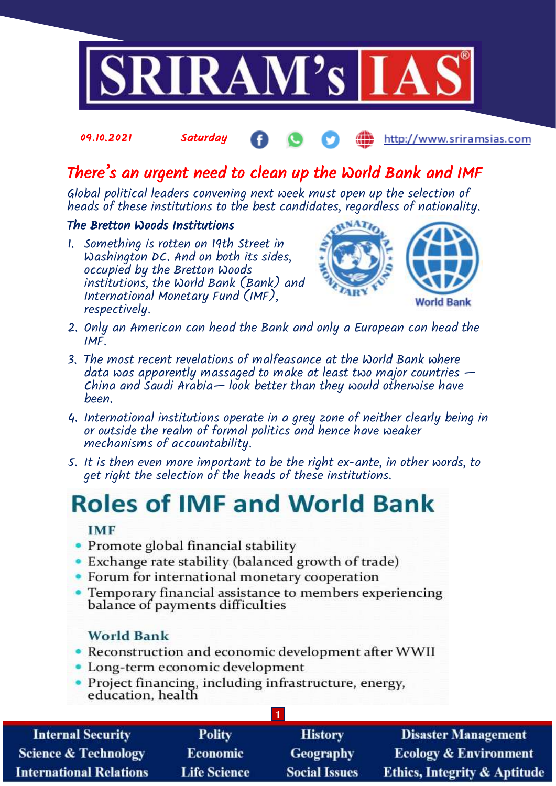

09.10.2021 Saturday

http://www.sriramsias.com

## There's an urgent need to clean up the World Bank and IMF

Global political leaders convening next week must open up the selection of heads of these institutions to the best candidates, regardless of nationality.

## The Bretton Woods Institutions

1. Something is rotten on 19th Street in Washington DC. And on both its sides, occupied by the Bretton Woods institutions, the World Bank (Bank) and International Monetary Fund (IMF), respectively.



- 2. Only an American can head the Bank and only a European can head the IMF.
- 3. The most recent revelations of malfeasance at the World Bank where data was apparently massaged to make at least two major countries —  $China$  and Saudi Arabia  $-$  look better than they would otherwise have been.
- 4. International institutions operate in a grey zone of neither clearly being in or outside the realm of formal politics and hence have weaker mechanisms of accountability.
- 5. It is then even more important to be the right ex-ante, in other words, to get right the selection of the heads of these institutions.

# **Roles of IMF and World Bank**

## **IMF**

- Promote global financial stability
- Exchange rate stability (balanced growth of trade)
- Forum for international monetary cooperation
- Temporary financial assistance to members experiencing balance of payments difficulties

## **World Bank**

- Reconstruction and economic development after WWII
- Long-term economic development
- Project financing, including infrastructure, energy, education, health

| <b>Internal Security</b>        | <b>Polity</b>       | <b>History</b>       | <b>Disaster Management</b>              |
|---------------------------------|---------------------|----------------------|-----------------------------------------|
| <b>Science &amp; Technology</b> | <b>Economic</b>     | Geography            | <b>Ecology &amp; Environment</b>        |
| <b>International Relations</b>  | <b>Life Science</b> | <b>Social Issues</b> | <b>Ethics, Integrity &amp; Aptitude</b> |

**1**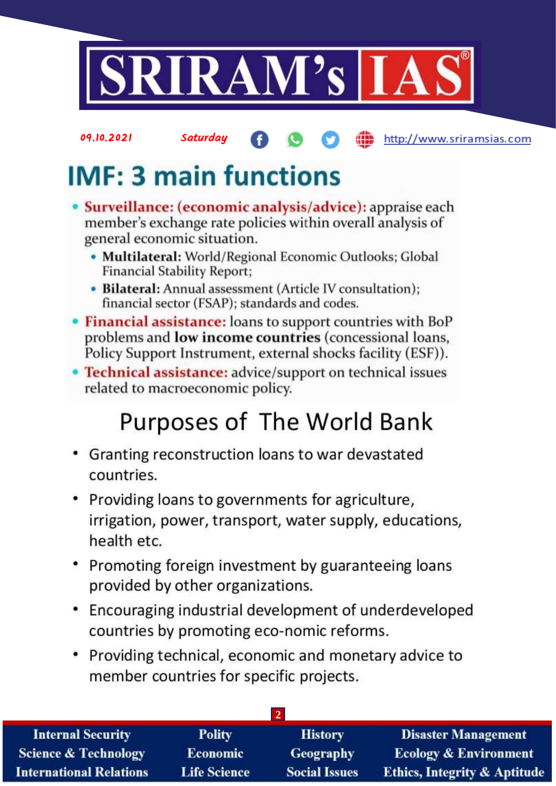

### 09.10.2021

## Saturday

### Æ http://www.sriramsias.com

# **IMF: 3 main functions**

- Surveillance: (economic analysis/advice): appraise each member's exchange rate policies within overall analysis of general economic situation.
	- · Multilateral: World/Regional Economic Outlooks; Global **Financial Stability Report:**
	- Bilateral: Annual assessment (Article IV consultation); financial sector (FSAP); standards and codes.
- Financial assistance: loans to support countries with BoP problems and **low income countries** (concessional loans, Policy Support Instrument, external shocks facility (ESF)).
- Technical assistance: advice/support on technical issues related to macroeconomic policy.

# Purposes of The World Bank

- Granting reconstruction loans to war devastated countries.
- Providing loans to governments for agriculture, irrigation, power, transport, water supply, educations, health etc.
- Promoting foreign investment by guaranteeing loans provided by other organizations.
- Encouraging industrial development of underdeveloped countries by promoting eco-nomic reforms.
- Providing technical, economic and monetary advice to member countries for specific projects.

| <b>Internal Security</b>        | <b>Polity</b>       | <b>History</b>       | <b>Disaster Management</b>              |  |  |  |
|---------------------------------|---------------------|----------------------|-----------------------------------------|--|--|--|
| <b>Science &amp; Technology</b> | <b>Economic</b>     | Geography            | <b>Ecology &amp; Environment</b>        |  |  |  |
| <b>International Relations</b>  | <b>Life Science</b> | <b>Social Issues</b> | <b>Ethics, Integrity &amp; Aptitude</b> |  |  |  |